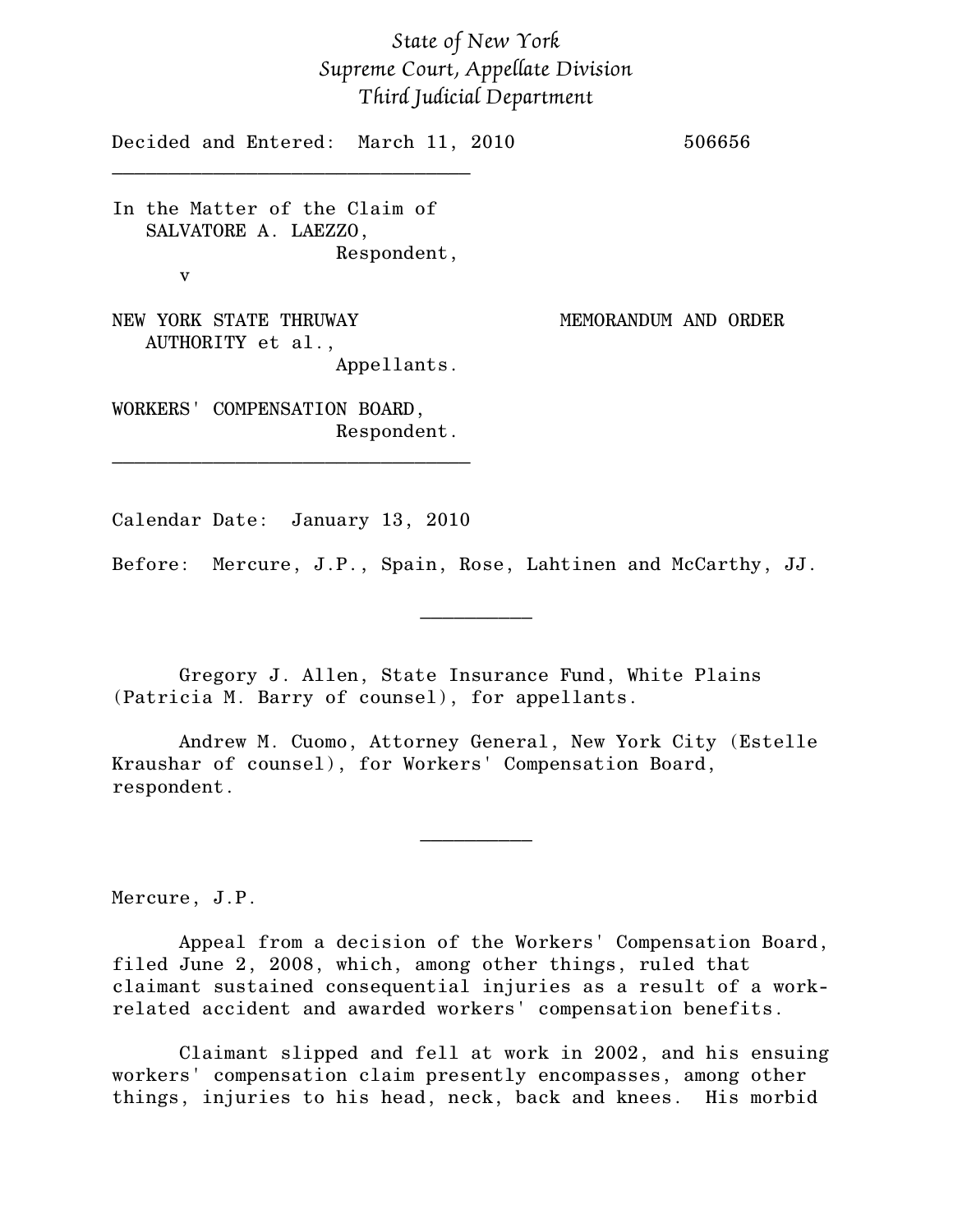## *State of New York Supreme Court, Appellate Division Third Judicial Department*

Decided and Entered: March 11, 2010 506656

In the Matter of the Claim of SALVATORE A. LAEZZO, Respondent, v

\_\_\_\_\_\_\_\_\_\_\_\_\_\_\_\_\_\_\_\_\_\_\_\_\_\_\_\_\_\_\_\_

NEW YORK STATE THRUWAY MEMORANDUM AND ORDER AUTHORITY et al., Appellants.

WORKERS' COMPENSATION BOARD, Respondent.

Calendar Date: January 13, 2010

\_\_\_\_\_\_\_\_\_\_\_\_\_\_\_\_\_\_\_\_\_\_\_\_\_\_\_\_\_\_\_\_

Before: Mercure, J.P., Spain, Rose, Lahtinen and McCarthy, JJ.

 $\frac{1}{2}$ 

Gregory J. Allen, State Insurance Fund, White Plains (Patricia M. Barry of counsel), for appellants.

Andrew M. Cuomo, Attorney General, New York City (Estelle Kraushar of counsel), for Workers' Compensation Board, respondent.

 $\frac{1}{2}$ 

Mercure, J.P.

Appeal from a decision of the Workers' Compensation Board, filed June 2, 2008, which, among other things, ruled that claimant sustained consequential injuries as a result of a workrelated accident and awarded workers' compensation benefits.

Claimant slipped and fell at work in 2002, and his ensuing workers' compensation claim presently encompasses, among other things, injuries to his head, neck, back and knees. His morbid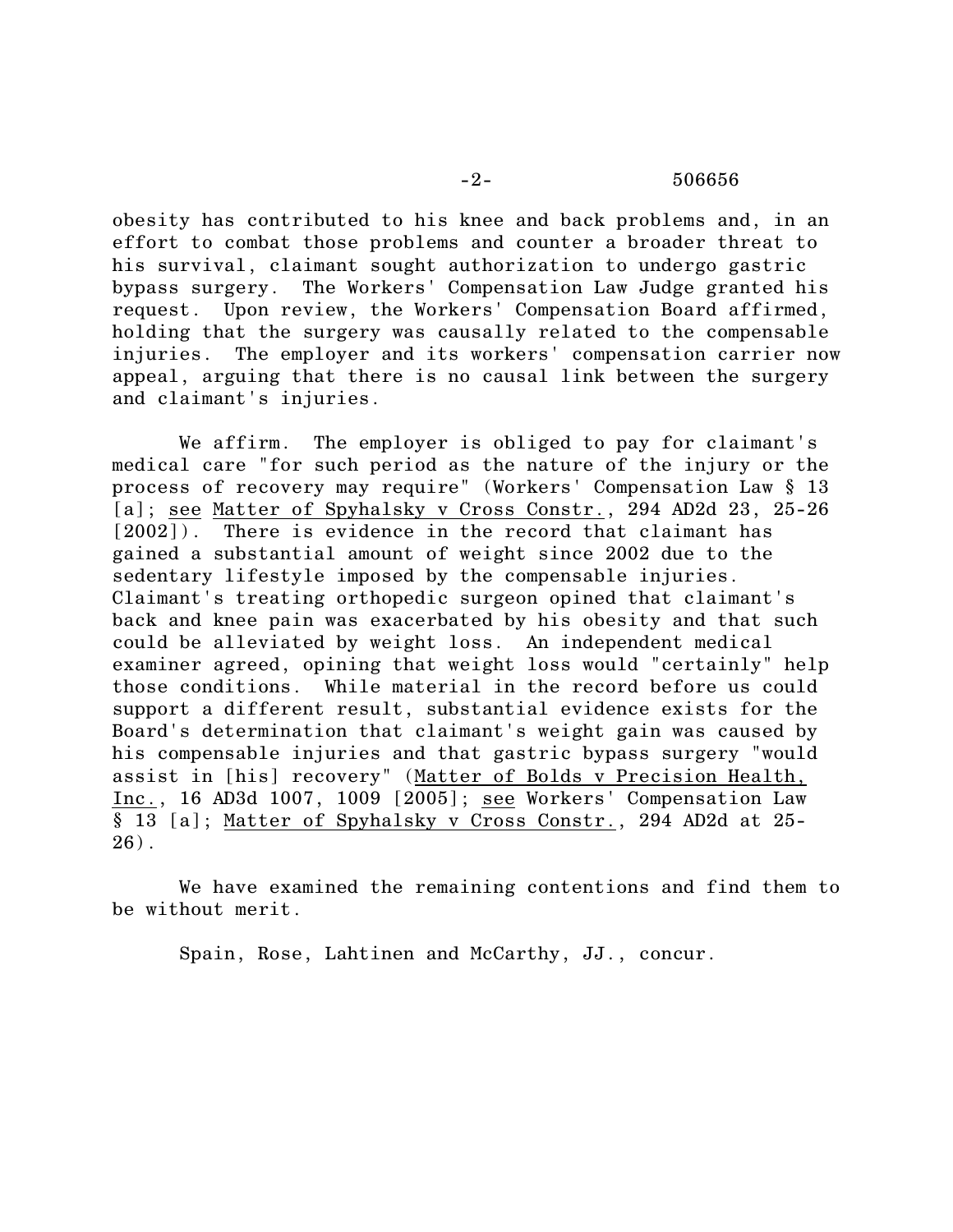obesity has contributed to his knee and back problems and, in an effort to combat those problems and counter a broader threat to his survival, claimant sought authorization to undergo gastric bypass surgery. The Workers' Compensation Law Judge granted his request. Upon review, the Workers' Compensation Board affirmed, holding that the surgery was causally related to the compensable injuries. The employer and its workers' compensation carrier now appeal, arguing that there is no causal link between the surgery and claimant's injuries.

We affirm. The employer is obliged to pay for claimant's medical care "for such period as the nature of the injury or the process of recovery may require" (Workers' Compensation Law § 13 [a]; see Matter of Spyhalsky v Cross Constr., 294 AD2d 23, 25-26 [2002]). There is evidence in the record that claimant has gained a substantial amount of weight since 2002 due to the sedentary lifestyle imposed by the compensable injuries. Claimant's treating orthopedic surgeon opined that claimant's back and knee pain was exacerbated by his obesity and that such could be alleviated by weight loss. An independent medical examiner agreed, opining that weight loss would "certainly" help those conditions. While material in the record before us could support a different result, substantial evidence exists for the Board's determination that claimant's weight gain was caused by his compensable injuries and that gastric bypass surgery "would assist in [his] recovery" (Matter of Bolds v Precision Health, Inc., 16 AD3d 1007, 1009 [2005]; see Workers' Compensation Law § 13 [a]; Matter of Spyhalsky v Cross Constr., 294 AD2d at 25- 26).

We have examined the remaining contentions and find them to be without merit.

Spain, Rose, Lahtinen and McCarthy, JJ., concur.